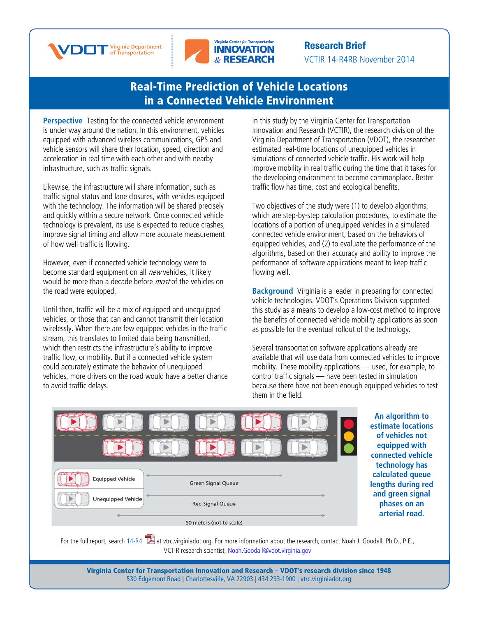



Research Brief VCTIR 14-R4RB November 2014

## [Real-Time Prediction of Vehicle Locations](http://www.virginiadot.org/vtrc/main/online_reports/pdf/14-r4.pdf)  [in a Connected Vehicle Environment](http://www.virginiadot.org/vtrc/main/online_reports/pdf/14-r4.pdf)

**Perspective** Testing for the connected vehicle environment is under way around the nation. In this environment, vehicles equipped with advanced wireless communications, GPS and vehicle sensors will share their location, speed, direction and acceleration in real time with each other and with nearby infrastructure, such as traffic signals.

Likewise, the infrastructure will share information, such as traffic signal status and lane closures, with vehicles equipped with the technology. The information will be shared precisely and quickly within a secure network. Once connected vehicle technology is prevalent, its use is expected to reduce crashes, improve signal timing and allow more accurate measurement of how well traffic is flowing.

However, even if connected vehicle technology were to become standard equipment on all new vehicles, it likely would be more than a decade before *most* of the vehicles on the road were equipped.

Until then, traffic will be a mix of equipped and unequipped vehicles, or those that can and cannot transmit their location wirelessly. When there are few equipped vehicles in the traffic stream, this translates to limited data being transmitted, which then restricts the infrastructure's ability to improve traffic flow, or mobility. But if a connected vehicle system could accurately estimate the behavior of unequipped vehicles, more drivers on the road would have a better chance to avoid traffic delays.

In this study by the Virginia Center for Transportation Innovation and Research (VCTIR), the research division of the Virginia Department of Transportation (VDOT), the researcher estimated real-time locations of unequipped vehicles in simulations of connected vehicle traffic. His work will help improve mobility in real traffic during the time that it takes for the developing environment to become commonplace. Better traffic flow has time, cost and ecological benefits.

Two objectives of the study were (1) to develop algorithms, which are step-by-step calculation procedures, to estimate the locations of a portion of unequipped vehicles in a simulated connected vehicle environment, based on the behaviors of equipped vehicles, and (2) to evaluate the performance of the algorithms, based on their accuracy and ability to improve the performance of software applications meant to keep traffic flowing well.

**Background** Virginia is a leader in preparing for connected vehicle technologies. VDOT's Operations Division supported this study as a means to develop a low-cost method to improve the benefits of connected vehicle mobility applications as soon as possible for the eventual rollout of the technology.

Several transportation software applications already are available that will use data from connected vehicles to improve mobility. These mobility applications — used, for example, to control traffic signals — have been tested in simulation because there have not been enough equipped vehicles to test them in the field.



**An algorithm to estimate locations of vehicles not equipped with connected vehicle technology has calculated queue lengths during red and green signal phases on an arterial road.**

For the full report, search  $14-R4$   $\blacksquare$  at vtrc.virginiadot.org. For more information about the research, contact Noah J. Goodall, Ph.D., P.E., VCTIR research scientist, Noah.Goodall@vdot.virginia.gov

> Virginia Center for Transportation Innovation and Research – VDOT's research division since 1948 530 Edgemont Road | Charlottesville, VA 22903 | 434 293-1900 | [vtrc.virginiadot.org](http://vtrc.virginiadot.org/)